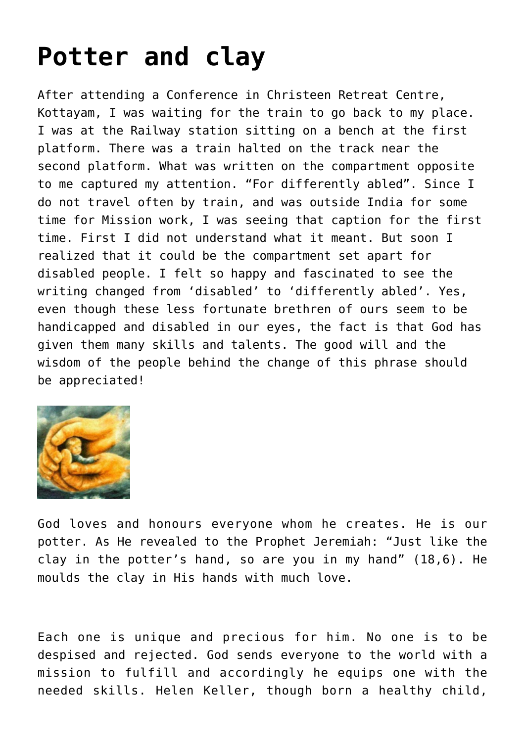## **[Potter and clay](https://www.mariakumar.org/2017/01/28/potter-and-clay/)**

After attending a Conference in Christeen Retreat Centre, Kottayam, I was waiting for the train to go back to my place. I was at the Railway station sitting on a bench at the first platform. There was a train halted on the track near the second platform. What was written on the compartment opposite to me captured my attention. "For differently abled". Since I do not travel often by train, and was outside India for some time for Mission work, I was seeing that caption for the first time. First I did not understand what it meant. But soon I realized that it could be the compartment set apart for disabled people. I felt so happy and fascinated to see the writing changed from 'disabled' to 'differently abled'. Yes, even though these less fortunate brethren of ours seem to be handicapped and disabled in our eyes, the fact is that God has given them many skills and talents. The good will and the wisdom of the people behind the change of this phrase should be appreciated!



God loves and honours everyone whom he creates. He is our potter. As He revealed to the Prophet Jeremiah: "Just like the clay in the potter's hand, so are you in my hand" (18,6). He moulds the clay in His hands with much love.

Each one is unique and precious for him. No one is to be despised and rejected. God sends everyone to the world with a mission to fulfill and accordingly he equips one with the needed skills. Helen Keller, though born a healthy child,